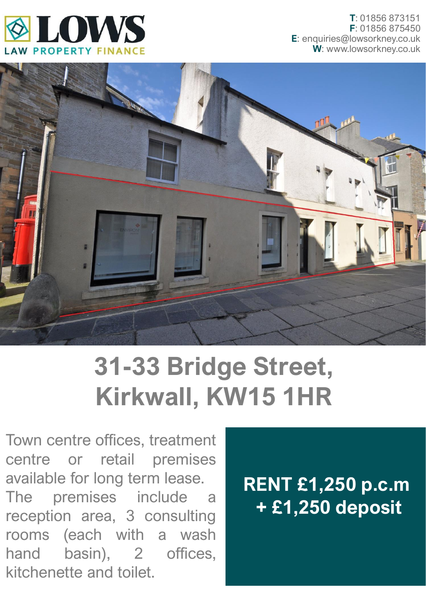



## **31-33 Bridge Street, Kirkwall, KW15 1HR**

Town centre offices, treatment centre or retail premises available for long term lease. The premises include a reception area, 3 consulting rooms (each with a wash hand basin), 2 offices, kitchenette and toilet.

## **RENT £1,250 p.c.m + £1,250 deposit**